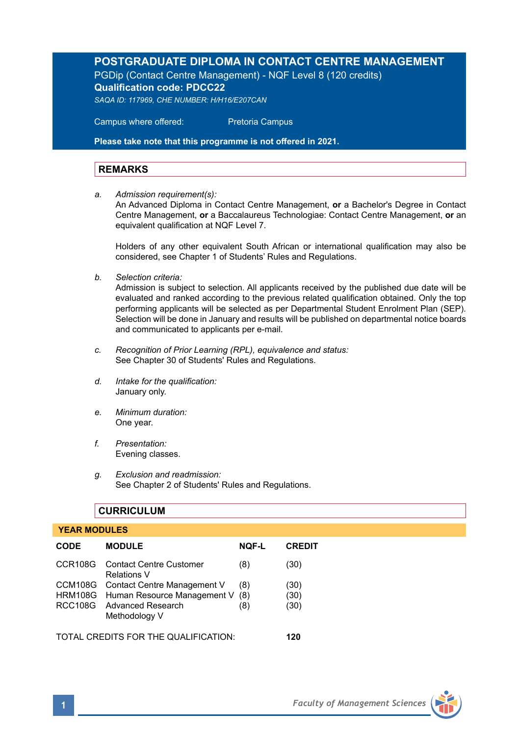# **POSTGRADUATE DIPLOMA IN CONTACT CENTRE MANAGEMENT**

PGDip (Contact Centre Management) - NQF Level 8 (120 credits) **Qualification code: PDCC22** 

*SAQA ID: 117969, CHE NUMBER: H/H16/E207CAN* 

 Campus where offered: Pretoria Campus

**Please take note that this programme is not offered in 2021.** 

# **REMARKS**

*a. Admission requirement(s):* 

An Advanced Diploma in Contact Centre Management, **or** a Bachelor's Degree in Contact Centre Management, **or** a Baccalaureus Technologiae: Contact Centre Management, **or** an equivalent qualification at NQF Level 7.

Holders of any other equivalent South African or international qualification may also be considered, see Chapter 1 of Students' Rules and Regulations.

*b. Selection criteria:*

Admission is subject to selection. All applicants received by the published due date will be evaluated and ranked according to the previous related qualification obtained. Only the top performing applicants will be selected as per Departmental Student Enrolment Plan (SEP). Selection will be done in January and results will be published on departmental notice boards and communicated to applicants per e-mail.

- *c. Recognition of Prior Learning (RPL), equivalence and status:* See Chapter 30 of Students' Rules and Regulations.
- *d. Intake for the qualification:* January only.
- *e. Minimum duration:* One year.
- *f. Presentation:* Evening classes.
- *g. Exclusion and readmission:* See Chapter 2 of Students' Rules and Regulations.

# **CURRICULUM**

### **YEAR MODULES**

| <b>CODE</b>                          | <b>MODULE</b>                                         | <b>NOF-L</b> | <b>CREDIT</b> |
|--------------------------------------|-------------------------------------------------------|--------------|---------------|
|                                      | CCR108G Contact Centre Customer<br><b>Relations V</b> | (8)          | (30)          |
|                                      | CCM108G Contact Centre Management V                   | (8)          | (30)          |
|                                      | HRM108G Human Resource Management V (8)               |              | (30)          |
|                                      | RCC108G Advanced Research<br>Methodology V            | (8)          | (30)          |
| TOTAL CREDITS FOR THE QUALIFICATION: |                                                       |              | 120           |